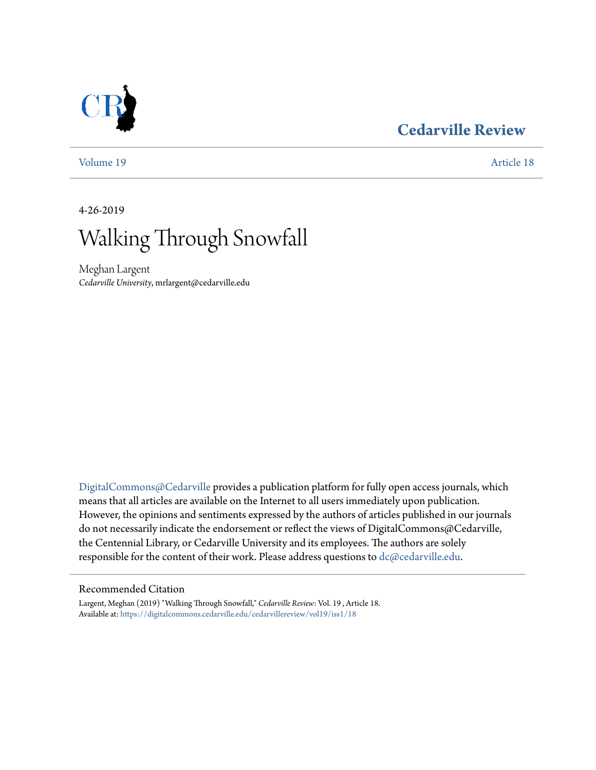### **[Cedarville Review](https://digitalcommons.cedarville.edu/cedarvillereview?utm_source=digitalcommons.cedarville.edu%2Fcedarvillereview%2Fvol19%2Fiss1%2F18&utm_medium=PDF&utm_campaign=PDFCoverPages)**



[Volume 19](https://digitalcommons.cedarville.edu/cedarvillereview/vol19?utm_source=digitalcommons.cedarville.edu%2Fcedarvillereview%2Fvol19%2Fiss1%2F18&utm_medium=PDF&utm_campaign=PDFCoverPages) [Article 18](https://digitalcommons.cedarville.edu/cedarvillereview/vol19/iss1/18?utm_source=digitalcommons.cedarville.edu%2Fcedarvillereview%2Fvol19%2Fiss1%2F18&utm_medium=PDF&utm_campaign=PDFCoverPages)

4-26-2019

# Walking Through Snowfall

Meghan Largent *Cedarville University*, mrlargent@cedarville.edu

[DigitalCommons@Cedarville](http://digitalcommons.cedarville.edu/) provides a publication platform for fully open access journals, which means that all articles are available on the Internet to all users immediately upon publication. However, the opinions and sentiments expressed by the authors of articles published in our journals do not necessarily indicate the endorsement or reflect the views of DigitalCommons@Cedarville, the Centennial Library, or Cedarville University and its employees. The authors are solely responsible for the content of their work. Please address questions to [dc@cedarville.edu](mailto:dc@cedarville.edu).

#### Recommended Citation

Largent, Meghan (2019) "Walking Through Snowfall," *Cedarville Review*: Vol. 19 , Article 18. Available at: [https://digitalcommons.cedarville.edu/cedarvillereview/vol19/iss1/18](https://digitalcommons.cedarville.edu/cedarvillereview/vol19/iss1/18?utm_source=digitalcommons.cedarville.edu%2Fcedarvillereview%2Fvol19%2Fiss1%2F18&utm_medium=PDF&utm_campaign=PDFCoverPages)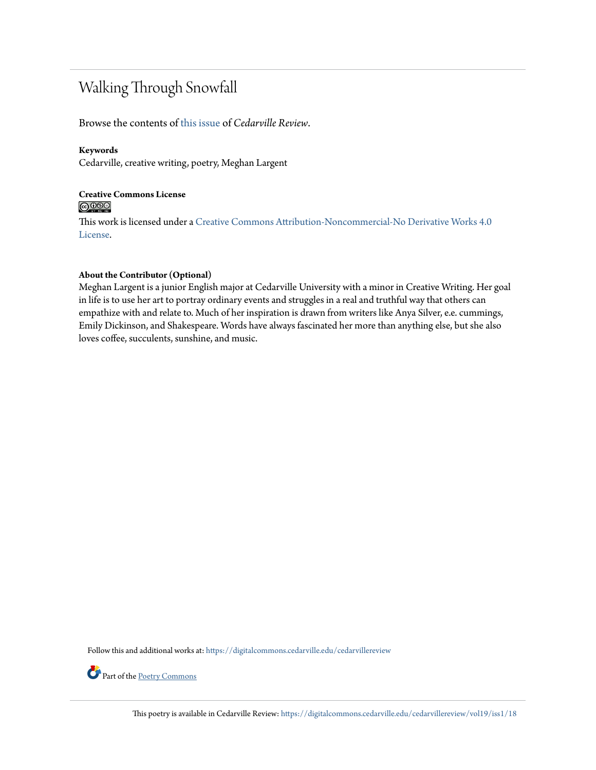### Walking Through Snowfall

Browse the contents of [this issue](https://digitalcommons.cedarville.edu/cedarvillereview/vol19/iss1) of *Cedarville Review*.

#### **Keywords**

Cedarville, creative writing, poetry, Meghan Largent

#### **Creative Commons License**  $\bigcirc$   $\circ$

This work is licensed under a [Creative Commons Attribution-Noncommercial-No Derivative Works 4.0](http://creativecommons.org/licenses/by-nc-nd/4.0/) [License.](http://creativecommons.org/licenses/by-nc-nd/4.0/)

#### **About the Contributor (Optional)**

Meghan Largent is a junior English major at Cedarville University with a minor in Creative Writing. Her goal in life is to use her art to portray ordinary events and struggles in a real and truthful way that others can empathize with and relate to. Much of her inspiration is drawn from writers like Anya Silver, e.e. cummings, Emily Dickinson, and Shakespeare. Words have always fascinated her more than anything else, but she also loves coffee, succulents, sunshine, and music.

Follow this and additional works at: [https://digitalcommons.cedarville.edu/cedarvillereview](https://digitalcommons.cedarville.edu/cedarvillereview?utm_source=digitalcommons.cedarville.edu%2Fcedarvillereview%2Fvol19%2Fiss1%2F18&utm_medium=PDF&utm_campaign=PDFCoverPages)



Part of the [Poetry Commons](http://network.bepress.com/hgg/discipline/1153?utm_source=digitalcommons.cedarville.edu%2Fcedarvillereview%2Fvol19%2Fiss1%2F18&utm_medium=PDF&utm_campaign=PDFCoverPages)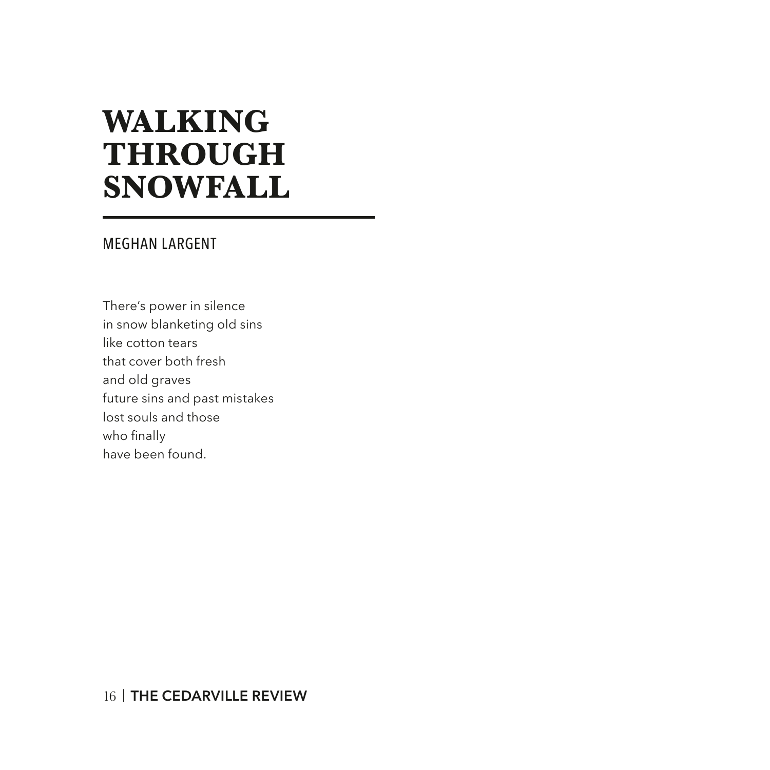## **WALKING THROUGH SNOWFALL**

#### MEGHAN LARGENT

There's power in silence in snow blanketing old sins like cotton tears that cover both fresh and old graves future sins and past mistakes lost souls and those who finally have been found.

#### 16 | **THE CEDARVILLE REVIEW**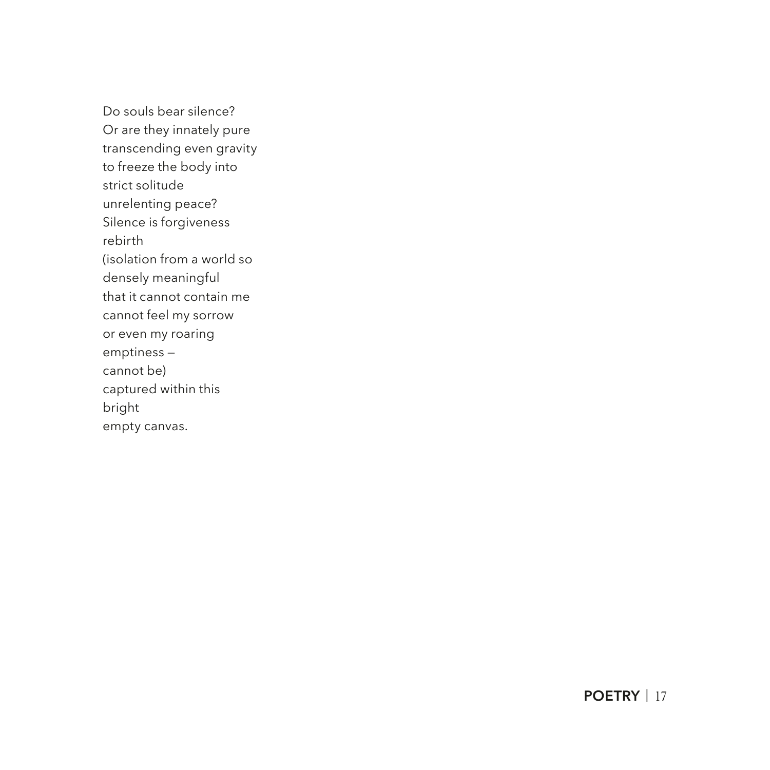Do souls bear silence? Or are they innately pure transcending even gravity to freeze the body into strict solitude unrelenting peace? Silence is forgiveness rebirth (isolation from a world so densely meaningful that it cannot contain me cannot feel my sorrow or even my roaring emptiness cannot be) captured within this bright empty canvas.